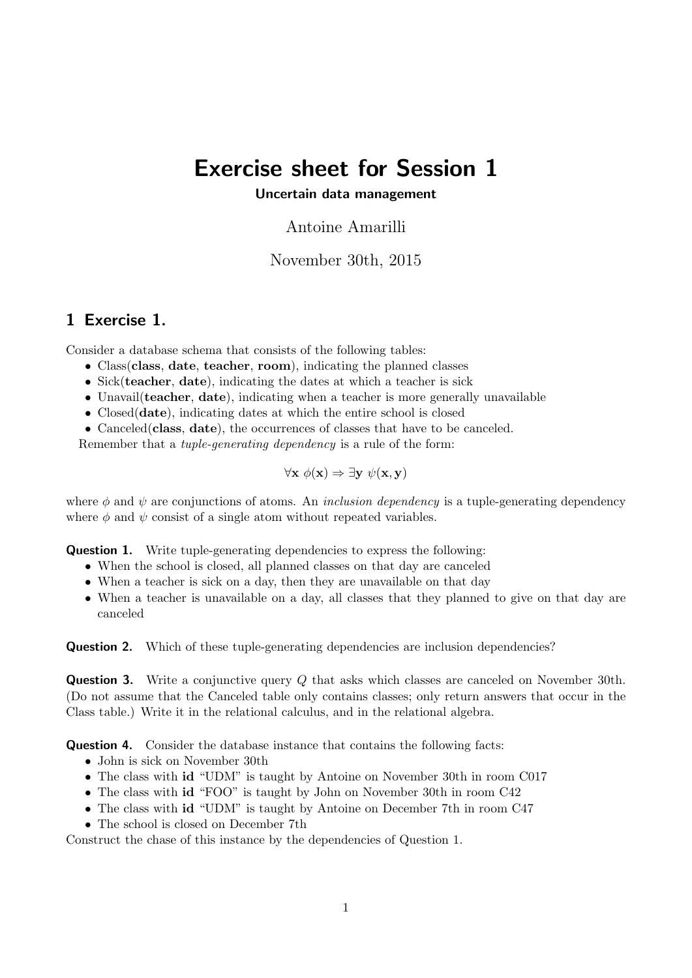## Exercise sheet for Session 1

## Uncertain data management

Antoine Amarilli

November 30th, 2015

## 1 Exercise 1.

Consider a database schema that consists of the following tables:

- Class class, date, teacher, room), indicating the planned classes
- Sick(teacher, date), indicating the dates at which a teacher is sick
- Unavail (teacher, date), indicating when a teacher is more generally unavailable
- Closed(date), indicating dates at which the entire school is closed
- Canceled (class, date), the occurrences of classes that have to be canceled.

Remember that a tuple-generating dependency is a rule of the form:

$$
\forall \mathbf{x} \; \phi(\mathbf{x}) \Rightarrow \exists \mathbf{y} \; \psi(\mathbf{x}, \mathbf{y})
$$

where  $\phi$  and  $\psi$  are conjunctions of atoms. An *inclusion dependency* is a tuple-generating dependency where  $\phi$  and  $\psi$  consist of a single atom without repeated variables.

**Question 1.** Write tuple-generating dependencies to express the following:

- When the school is closed, all planned classes on that day are canceled
- When a teacher is sick on a day, then they are unavailable on that day
- When a teacher is unavailable on a day, all classes that they planned to give on that day are canceled

**Question 2.** Which of these tuple-generating dependencies are inclusion dependencies?

**Question 3.** Write a conjunctive query Q that asks which classes are canceled on November 30th. (Do not assume that the Canceled table only contains classes; only return answers that occur in the Class table.) Write it in the relational calculus, and in the relational algebra.

Question 4. Consider the database instance that contains the following facts:

- John is sick on November 30th
- The class with id "UDM" is taught by Antoine on November 30th in room C017
- The class with id "FOO" is taught by John on November 30th in room C42
- The class with id "UDM" is taught by Antoine on December 7th in room C47
- The school is closed on December 7th

Construct the chase of this instance by the dependencies of Question 1.